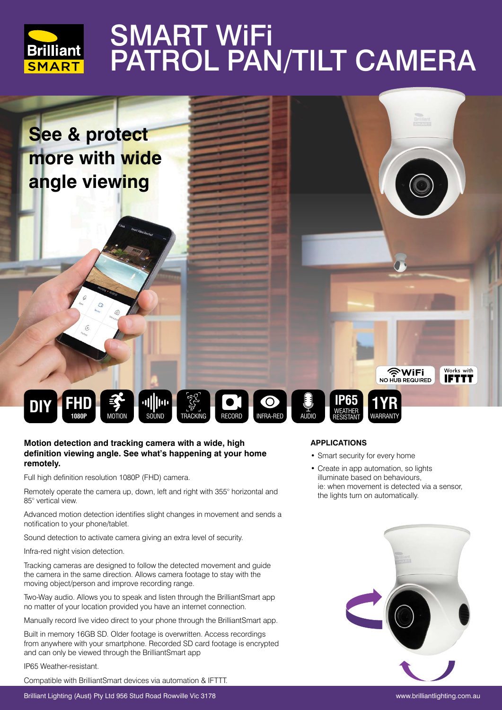

# **SMART WIFI** PATROL PAN/TILT CAMERA



### **Motion detection and tracking camera with a wide, high definition viewing angle. See what's happening at your home remotely.**

Full high definition resolution 1080P (FHD) camera.

Remotely operate the camera up, down, left and right with 355° horizontal and 85° vertical view.

Advanced motion detection identifies slight changes in movement and sends a notification to your phone/tablet.

Sound detection to activate camera giving an extra level of security.

Infra-red night vision detection.

Tracking cameras are designed to follow the detected movement and guide the camera in the same direction. Allows camera footage to stay with the moving object/person and improve recording range.

Two-Way audio. Allows you to speak and listen through the BrilliantSmart app no matter of your location provided you have an internet connection.

Manually record live video direct to your phone through the BrilliantSmart app.

Built in memory 16GB SD. Older footage is overwritten. Access recordings from anywhere with your smartphone. Recorded SD card footage is encrypted and can only be viewed through the BrilliantSmart app

IP65 Weather-resistant.

Compatible with BrilliantSmart devices via automation & IFTTT.

### **APPLICATIONS**

- Smart security for every home
- Create in app automation, so lights illuminate based on behaviours, ie: when movement is detected via a sensor, the lights turn on automatically.